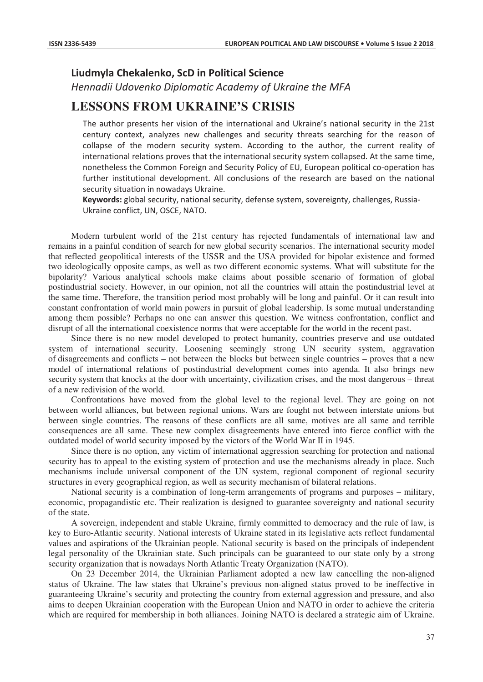## **Liudmyla Chekalenko, ScD in Political Science**

*Hennadii Udovenko Diplomatic Academy of Ukraine the MFA* 

## **LESSONS FROM UKRAINE'S CRISIS**

The author presents her vision of the international and Ukraine's national security in the 21st century context, analyzes new challenges and security threats searching for the reason of collapse of the modern security system. According to the author, the current reality of international relations proves that the international security system collapsed. At the same time, nonetheless the Common Foreign and Security Policy of EU, European political co-operation has further institutional development. All conclusions of the research are based on the national security situation in nowadays Ukraine.

Keywords: global security, national security, defense system, sovereignty, challenges, Russia-Ukraine conflict, UN, OSCE, NATO.

Modern turbulent world of the 21st century has rejected fundamentals of international law and remains in a painful condition of search for new global security scenarios. The international security model that reflected geopolitical interests of the USSR and the USA provided for bipolar existence and formed two ideologically opposite camps, as well as two different economic systems. What will substitute for the bipolarity? Various analytical schools make claims about possible scenario of formation of global postindustrial society. However, in our opinion, not all the countries will attain the postindustrial level at the same time. Therefore, the transition period most probably will be long and painful. Or it can result into constant confrontation of world main powers in pursuit of global leadership. Is some mutual understanding among them possible? Perhaps no one can answer this question. We witness confrontation, conflict and disrupt of all the international coexistence norms that were acceptable for the world in the recent past.

Since there is no new model developed to protect humanity, countries preserve and use outdated system of international security. Loosening seemingly strong UN security system, aggravation of disagreements and conflicts – not between the blocks but between single countries – proves that a new model of international relations of postindustrial development comes into agenda. It also brings new security system that knocks at the door with uncertainty, civilization crises, and the most dangerous – threat of a new redivision of the world.

Confrontations have moved from the global level to the regional level. They are going on not between world alliances, but between regional unions. Wars are fought not between interstate unions but between single countries. The reasons of these conflicts are all same, motives are all same and terrible consequences are all same. These new complex disagreements have entered into fierce conflict with the outdated model of world security imposed by the victors of the World War II in 1945.

Since there is no option, any victim of international aggression searching for protection and national security has to appeal to the existing system of protection and use the mechanisms already in place. Such mechanisms include universal component of the UN system, regional component of regional security structures in every geographical region, as well as security mechanism of bilateral relations.

National security is a combination of long-term arrangements of programs and purposes – military, economic, propagandistic etc. Their realization is designed to guarantee sovereignty and national security of the state.

A sovereign, independent and stable Ukraine, firmly committed to democracy and the rule of law, is key to Euro-Atlantic security. National interests of Ukraine stated in its legislative acts reflect fundamental values and aspirations of the Ukrainian people. National security is based on the principals of independent legal personality of the Ukrainian state. Such principals can be guaranteed to our state only by a strong security organization that is nowadays North Atlantic Treaty Organization (NATO).

On 23 December 2014, the Ukrainian Parliament adopted a new law cancelling the non-aligned status of Ukraine. The law states that Ukraine's previous non-aligned status proved to be ineffective in guaranteeing Ukraine's security and protecting the country from external aggression and pressure, and also aims to deepen Ukrainian cooperation with the European Union and NATO in order to achieve the criteria which are required for membership in both alliances. Joining NATO is declared a strategic aim of Ukraine.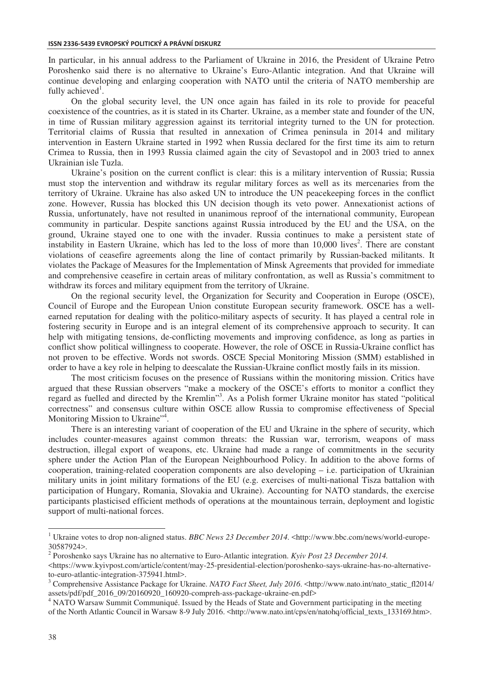In particular, in his annual address to the Parliament of Ukraine in 2016, the President of Ukraine Petro Poroshenko said there is no alternative to Ukraine's Euro-Atlantic integration. And that Ukraine will continue developing and enlarging cooperation with NATO until the criteria of NATO membership are fully achieved<sup>1</sup>.

On the global security level, the UN once again has failed in its role to provide for peaceful coexistence of the countries, as it is stated in its Charter. Ukraine, as a member state and founder of the UN, in time of Russian military aggression against its territorial integrity turned to the UN for protection. Territorial claims of Russia that resulted in annexation of Crimea peninsula in 2014 and military intervention in Eastern Ukraine started in 1992 when Russia declared for the first time its aim to return Crimea to Russia, then in 1993 Russia claimed again the city of Sevastopol and in 2003 tried to annex Ukrainian isle Tuzla.

Ukraine's position on the current conflict is clear: this is a military intervention of Russia; Russia must stop the intervention and withdraw its regular military forces as well as its mercenaries from the territory of Ukraine. Ukraine has also asked UN to introduce the UN peacekeeping forces in the conflict zone. However, Russia has blocked this UN decision though its veto power. Annexationist actions of Russia, unfortunately, have not resulted in unanimous reproof of the international community, European community in particular. Despite sanctions against Russia introduced by the EU and the USA, on the ground, Ukraine stayed one to one with the invader. Russia continues to make a persistent state of instability in Eastern Ukraine, which has led to the loss of more than 10,000 lives<sup>2</sup>. There are constant violations of ceasefire agreements along the line of contact primarily by Russian-backed militants. It violates the Package of Measures for the Implementation of Minsk Agreements that provided for immediate and comprehensive ceasefire in certain areas of military confrontation, as well as Russia's commitment to withdraw its forces and military equipment from the territory of Ukraine.

On the regional security level, the Organization for Security and Cooperation in Europe (OSCE), Council of Europe and the European Union constitute European security framework. OSCE has a wellearned reputation for dealing with the politico-military aspects of security. It has played a central role in fostering security in Europe and is an integral element of its comprehensive approach to security. It can help with mitigating tensions, de-conflicting movements and improving confidence, as long as parties in conflict show political willingness to cooperate. However, the role of OSCE in Russia-Ukraine conflict has not proven to be effective. Words not swords. OSCE Special Monitoring Mission (SMM) established in order to have a key role in helping to deescalate the Russian-Ukraine conflict mostly fails in its mission.

The most criticism focuses on the presence of Russians within the monitoring mission. Critics have argued that these Russian observers "make a mockery of the OSCE's efforts to monitor a conflict they regard as fuelled and directed by the Kremlin"<sup>3</sup>. As a Polish former Ukraine monitor has stated "political correctness" and consensus culture within OSCE allow Russia to compromise effectiveness of Special Monitoring Mission to Ukraine"<sup>4</sup>.

There is an interesting variant of cooperation of the EU and Ukraine in the sphere of security, which includes counter-measures against common threats: the Russian war, terrorism, weapons of mass destruction, illegal export of weapons, etc. Ukraine had made a range of commitments in the security sphere under the Action Plan of the European Neighbourhood Policy. In addition to the above forms of cooperation, training-related cooperation components are also developing – i.e. participation of Ukrainian military units in joint military formations of the EU (e.g. exercises of multi-national Tisza battalion with participation of Hungary, Romania, Slovakia and Ukraine). Accounting for NATO standards, the exercise participants plasticised efficient methods of operations at the mountainous terrain, deployment and logistic support of multi-national forces.

 1 Ukraine votes to drop non-aligned status. *BBC News 23 December 2014*. <http://www.bbc.com/news/world-europe-30587924>.

<sup>2</sup> Poroshenko says Ukraine has no alternative to Euro-Atlantic integration. *Kyiv Post 23 December 2014.* 

 $\lt$ https://www.kyivpost.com/article/content/may-25-presidential-election/poroshenko-says-ukraine-has-no-alternativeto-euro-atlantic-integration-375941.html>.

<sup>&</sup>lt;sup>3</sup> Comprehensive Assistance Package for Ukraine. *NATO Fact Sheet, July 2016*. <http://www.nato.int/nato\_static\_fl2014/ assets/pdf/pdf\_2016\_09/20160920\_160920-compreh-ass-package-ukraine-en.pdf>

<sup>&</sup>lt;sup>4</sup> NATO Warsaw Summit Communiqué. Issued by the Heads of State and Government participating in the meeting of the North Atlantic Council in Warsaw 8-9 July 2016. <http://www.nato.int/cps/en/natohq/official\_texts\_133169.htm>.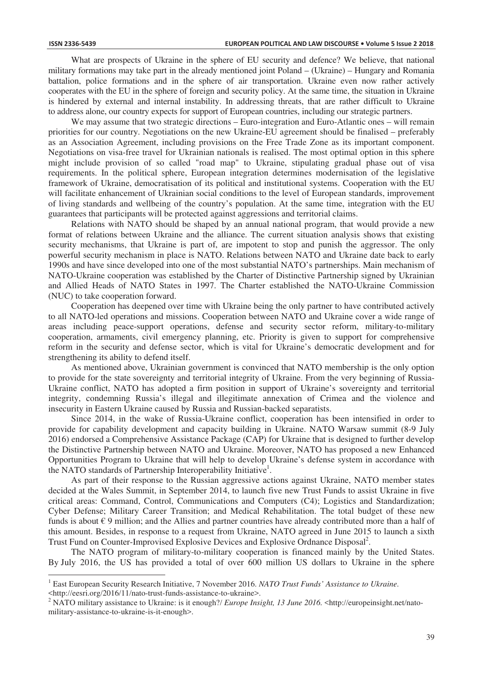What are prospects of Ukraine in the sphere of EU security and defence? We believe, that national military formations may take part in the already mentioned joint Poland – (Ukraine) – Hungary and Romania battalion, police formations and in the sphere of air transportation. Ukraine even now rather actively cooperates with the EU in the sphere of foreign and security policy. At the same time, the situation in Ukraine is hindered by external and internal instability. In addressing threats, that are rather difficult to Ukraine to address alone, our country expects for support of European countries, including our strategic partners.

We may assume that two strategic directions – Euro-integration and Euro-Atlantic ones – will remain priorities for our country. Negotiations on the new Ukraine-EU agreement should be finalised – preferably as an Association Agreement, including provisions on the Free Trade Zone as its important component. Negotiations on visa-free travel for Ukrainian nationals is realised. The most optimal option in this sphere might include provision of so called "road map" to Ukraine, stipulating gradual phase out of visa requirements. In the political sphere, European integration determines modernisation of the legislative framework of Ukraine, democratisation of its political and institutional systems. Cooperation with the EU will facilitate enhancement of Ukrainian social conditions to the level of European standards, improvement of living standards and wellbeing of the country's population. At the same time, integration with the EU guarantees that participants will be protected against aggressions and territorial claims.

Relations with NATO should be shaped by an annual national program, that would provide a new format of relations between Ukraine and the alliance. The current situation analysis shows that existing security mechanisms, that Ukraine is part of, are impotent to stop and punish the aggressor. The only powerful security mechanism in place is NATO. Relations between NATO and Ukraine date back to early 1990s and have since developed into one of the most substantial NATO's partnerships. Main mechanism of NATO-Ukraine cooperation was established by the Charter of Distinctive Partnership signed by Ukrainian and Allied Heads of NATO States in 1997. The Charter established the NATO-Ukraine Commission (NUC) to take cooperation forward.

Cooperation has deepened over time with Ukraine being the only partner to have contributed actively to all NATO-led operations and missions. Cooperation between NATO and Ukraine cover a wide range of areas including peace-support operations, defense and security sector reform, military-to-military cooperation, armaments, civil emergency planning, etc. Priority is given to support for comprehensive reform in the security and defense sector, which is vital for Ukraine's democratic development and for strengthening its ability to defend itself.

As mentioned above, Ukrainian government is convinced that NATO membership is the only option to provide for the state sovereignty and territorial integrity of Ukraine. From the very beginning of Russia-Ukraine conflict, NATO has adopted a firm position in support of Ukraine's sovereignty and territorial integrity, condemning Russia's illegal and illegitimate annexation of Crimea and the violence and insecurity in Eastern Ukraine caused by Russia and Russian-backed separatists.

Since 2014, in the wake of Russia-Ukraine conflict, cooperation has been intensified in order to provide for capability development and capacity building in Ukraine. NATO Warsaw summit (8-9 July 2016) endorsed a Comprehensive Assistance Package (CAP) for Ukraine that is designed to further develop the Distinctive Partnership between NATO and Ukraine. Moreover, NATO has proposed a new Enhanced Opportunities Program to Ukraine that will help to develop Ukraine's defense system in accordance with the NATO standards of Partnership Interoperability Initiative<sup>1</sup>.

As part of their response to the Russian aggressive actions against Ukraine, NATO member states decided at the Wales Summit, in September 2014, to launch five new Trust Funds to assist Ukraine in five critical areas: Command, Control, Communications and Computers (C4); Logistics and Standardization; Cyber Defense; Military Career Transition; and Medical Rehabilitation. The total budget of these new funds is about  $\epsilon$  9 million; and the Allies and partner countries have already contributed more than a half of this amount. Besides, in response to a request from Ukraine, NATO agreed in June 2015 to launch a sixth Trust Fund on Counter-Improvised Explosive Devices and Explosive Ordnance Disposal<sup>2</sup>.

The NATO program of military-to-military cooperation is financed mainly by the United States. By July 2016, the US has provided a total of over 600 million US dollars to Ukraine in the sphere

 $\overline{a}$ 

<sup>&</sup>lt;sup>1</sup> East European Security Research Initiative, 7 November 2016. *NATO Trust Funds' Assistance to Ukraine*.

<sup>&</sup>lt;http://eesri.org/2016/11/nato-trust-funds-assistance-to-ukraine>.

<sup>&</sup>lt;sup>2</sup> NATO military assistance to Ukraine: is it enough?/ *Europe Insight, 13 June 2016*. <http://europeinsight.net/natomilitary-assistance-to-ukraine-is-it-enough>.